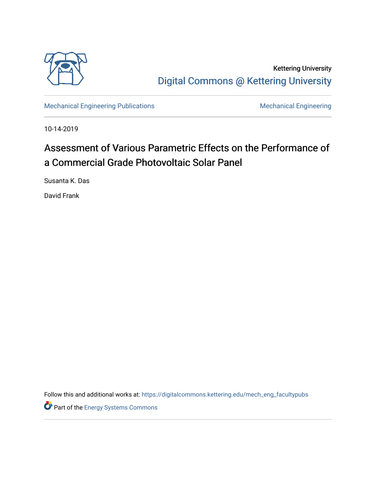

Kettering University [Digital Commons @ Kettering University](https://digitalcommons.kettering.edu/) 

[Mechanical Engineering Publications](https://digitalcommons.kettering.edu/mech_eng_facultypubs) [Mechanical Engineering](https://digitalcommons.kettering.edu/mech_eng) Mechanical Engineering

10-14-2019

# Assessment of Various Parametric Effects on the Performance of a Commercial Grade Photovoltaic Solar Panel

Susanta K. Das

David Frank

Follow this and additional works at: [https://digitalcommons.kettering.edu/mech\\_eng\\_facultypubs](https://digitalcommons.kettering.edu/mech_eng_facultypubs?utm_source=digitalcommons.kettering.edu%2Fmech_eng_facultypubs%2F227&utm_medium=PDF&utm_campaign=PDFCoverPages)

Part of the [Energy Systems Commons](http://network.bepress.com/hgg/discipline/299?utm_source=digitalcommons.kettering.edu%2Fmech_eng_facultypubs%2F227&utm_medium=PDF&utm_campaign=PDFCoverPages)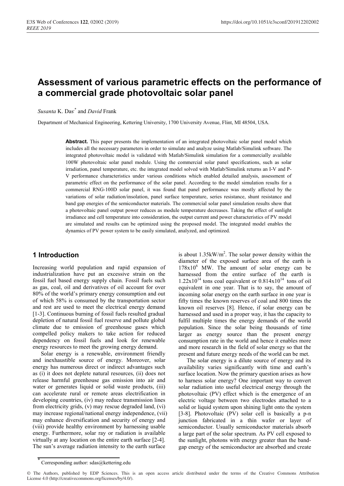## **Assessment of various parametric effects on the performance of a commercial grade photovoltaic solar panel**

*Susanta* K. Das,\* and *David* Frank

Department of Mechanical Engineering, Kettering University, 1700 University Avenue, Flint, MI 48504, USA.

**Abstract.** This paper presents the implementation of an integrated photovoltaic solar panel model which includes all the necessary parameters in order to simulate and analyze using Matlab/Simulink software. The integrated photovoltaic model is validated with Matlab/Simulink simulation for a commercially available 100W photovoltaic solar panel module. Using the commercial solar panel specifications, such as solar irradiation, panel temperature, etc. the integrated model solved with Matlab/Simulink returns an I-V and P-V performance characteristics under various conditions which enabled detailed analysis, assessment of parametric effect on the performance of the solar panel. According to the model simulation results for a commercial RNG-100D solar panel, it was found that panel performance was mostly affected by the variations of solar radiation/insolation, panel surface temperature, series resistance, shunt resistance and band gap energies of the semiconductor materials. The commercial solar panel simulation results show that a photovoltaic panel output power reduces as module temperature decreases. Taking the effect of sunlight irradiance and cell temperature into consideration, the output current and power characteristics of PV model are simulated and results can be optimized using the proposed model. The integrated model enables the dynamics of PV power system to be easily simulated, analyzed, and optimized.

#### **1 Introduction**

Increasing world population and rapid expansion of industrialization have put an excessive strain on the fossil fuel based energy supply chain. Fossil fuels such as gas, coal, oil and derivatives of oil account for over 80% of the world's primary energy consumption and out of which 58% is consumed by the transportation sector and rest are used to meet the electrical energy demand [1-3]. Continuous burning of fossil fuels resulted gradual depletion of natural fossil fuel reserve and pollute global climate due to emission of greenhouse gases which compelled policy makers to take action for reduced dependency on fossil fuels and look for renewable energy resources to meet the growing energy demand.

Solar energy is a renewable, environment friendly and inexhaustible source of energy. Moreover, solar energy has numerous direct or indirect advantages such as (i) it does not deplete natural resources, (ii) does not release harmful greenhouse gas emission into air and water or generates liquid or solid waste products, (iii) can accelerate rural or remote areas electrification in developing countries, (iv) may reduce transmission lines from electricity grids, (v) may rescue degraded land, (vi) may increase regional/national energy independence, (vii) may enhance diversification and security of energy and (viii) provide healthy environment by harnessing usable energy. Furthermore, solar ray or radiation is available virtually at any location on the entire earth surface [2-4]. The sun's average radiation intensity to the earth surface

is about  $1.35 \text{kW/m}^2$ . The solar power density within the diameter of the exposed surface area of the earth is  $178x10^6$  MW. The amount of solar energy can be harnessed from the entire surface of the earth is  $1.22 \times 10^{14}$  tons coal equivalent or  $0.814 \times 10^{14}$  tons of oil equivalent in one year. That is to say, the amount of incoming solar energy on the earth surface in one year is fifty times the known reserves of coal and 800 times the known oil reserves [8]. Hence, if solar energy can be harnessed and used in a proper way, it has the capacity to fulfil multiple times the energy demands of the world population. Since the solar being thousands of time larger as energy source than the present energy consumption rate in the world and hence it enables more and more research in the field of solar energy so that the present and future energy needs of the world can be met.

The solar energy is a dilute source of energy and its availability varies significantly with time and earth's surface location. Now the primary question arises as how to harness solar energy? One important way to convert solar radiation into useful electrical energy through the photovoltaic (PV) effect which is the emergence of an electric voltage between two electrodes attached to a solid or liquid system upon shining light onto the system [3-8]. Photovoltaic (PV) solar cell is basically a p-n junction fabricated in a thin wafer or layer of semiconductor. Usually semiconductor materials absorb a large part of the solar spectrum. As PV cell exposed to the sunlight, photons with energy greater than the bandgap energy of the semiconductor are absorbed and create

Corresponding author: sdas@kettering.edu

<sup>©</sup> The Authors, published by EDP Sciences. This is an open access article distributed under the terms of the Creative Commons Attribution License 4.0 (http://creativecommons.org/licenses/by/4.0/).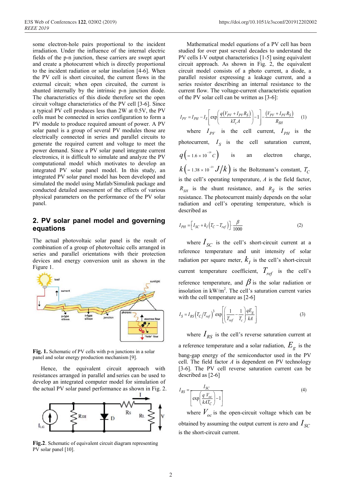some electron-hole pairs proportional to the incident irradiation. Under the influence of the internal electric fields of the p-n junction, these carriers are swept apart and create a photocurrent which is directly proportional to the incident radiation or solar insolation [4-6]. When the PV cell is short circuited, the current flows in the external circuit; when open circuited, the current is shunted internally by the intrinsic p-n junction diode. The characteristics of this diode therefore set the open circuit voltage characteristics of the PV cell [3-6]. Since a typical PV cell produces less than 2W at 0.5V, the PV cells must be connected in series configuration to form a PV module to produce required amount of power. A PV solar panel is a group of several PV modules those are electrically connected in series and parallel circuits to generate the required current and voltage to meet the power demand. Since a PV solar panel integrate current electronics, it is difficult to simulate and analyze the PV computational model which motivates to develop an integrated PV solar panel model. In this study, an integrated PV solar panel model has been developed and simulated the model using Matlab/Simulink package and conducted detailed assessment of the effects of various physical parameters on the performance of the PV solar panel.

#### **2. PV solar panel model and governing equations**

The actual photovoltaic solar panel is the result of combination of a group of photovoltaic cells arranged in series and parallel orientations with their protection devices and energy conversion unit as shown in the Figure 1.



**Fig. 1.** Schematic of PV cells with p-n junctions in a solar panel and solar energy production mechanism [9].

Hence, the equivalent circuit approach with resistances arranged in parallel and series can be used to develop an integrated computer model for simulation of the actual PV solar panel performance as shown in Fig. 2.



**Fig.2**. Schematic of equivalent circuit diagram representing PV solar panel [10].

Mathematical model equations of a PV cell has been studied for over past several decades to understand the PV cells I-V output characteristics [1-5] using equivalent circuit approach. As shown in Fig. 2, the equivalent circuit model consists of a photo current, a diode, a parallel resistor expressing a leakage current, and a series resistor describing an internal resistance to the current flow. The voltage-current characteristic equation of the PV solar cell can be written as [3-6]:

$$
I_{PV} = I_{PH} - I_S \left[ exp \left( \frac{q(V_{PV} + I_{PV}R_S)}{kT_c A} \right) - 1 \right] - \frac{(V_{PV} + I_{PV}R_S)}{R_{SH}} \tag{1}
$$

where  $I_{PV}$  is the cell current,  $I_{PH}$  is the photocurrent,  $I_S$  is the cell saturation current,  $q\left( =1.6 \times 10^{-19} C \right)$  is an electron charge,  $k\left(1.38 \times 10^{-23} J/k\right)$  is the Boltzmann's constant,  $T_c$ is the cell's operating temperature, *A* is the field factor,  $R_{\text{S}}$  *is the shunt resistance, and*  $R_{\text{S}}$  *<i>is the series* resistance. The photocurrent mainly depends on the solar radiation and cell's operating temperature, which is described as

$$
I_{PH} = \left[ I_{SC} + k_I \left( T_C - T_{ref} \right) \right] \cdot \frac{\beta}{1000}
$$
 (2)

where  $I_{SC}$  is the cell's short-circuit current at a reference temperature and unit intensity of solar radiation per square meter,  $k<sub>I</sub>$  is the cell's short-circuit current temperature coefficient,  $T_{ref}$  is the cell's reference temperature, and  $\beta$  is the solar radiation or insolation in  $kW/m^2$ . The cell's saturation current varies with the cell temperature as [2-6]

$$
I_S = I_{RS} \left( T_C / T_{ref} \right)^3 \exp \left[ \left( \frac{1}{T_{ref}} - \frac{1}{T_c} \right) \frac{qE_g}{kA} \right]
$$
 (3)

where  $I_{RS}$  is the cell's reverse saturation current at a reference temperature and a solar radiation,  $E_g$  is the bang-gap energy of the semiconductor used in the PV cell. The field factor *A* is dependent on PV technology [3-6]. The PV cell reverse saturation current can be described as [2-6]

$$
I_{RS} = \frac{I_{SC}}{\left[\exp\left(\frac{q V_{oc}}{k A T_C}\right) - 1\right]}
$$
(4)

where  $V_{oc}$  is the open-circuit voltage which can be obtained by assuming the output current is zero and  $I_{SC}$ is the short-circuit current.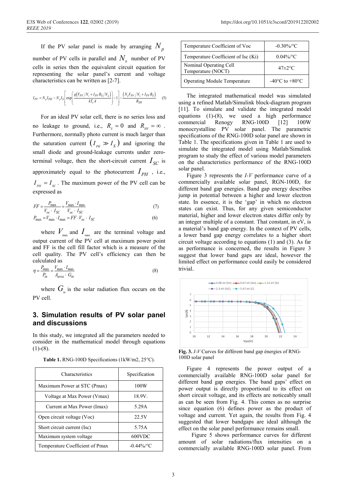If the PV solar panel is made by arranging  $N_p$ number of PV cells in parallel and  $N_s$  number of PV cells in series then the equivalent circuit equation for representing the solar panel's current and voltage characteristics can be written as [2-7].

$$
I_{PV} = N_p I_{PH} - N_p I_S \left[ \exp\left(\frac{q(V_{PV}/N_s + I_{PV} R_S/N_p)}{kT_c A}\right) - 1 \right] - \frac{(N_p V_{PV}/N_s + I_{PV} R_S)}{R_{SH}} \tag{5}
$$

For an ideal PV solar cell, there is no series loss and no leakage to ground, i.e.,  $R_s = 0$  and  $R_{sH} = \infty$ . Furthermore, normally photo current is much larger than the saturation current  $(I_{\rho_H} \gg I_{\rm S}$  and ignoring the small diode and ground-leakage currents under zeroterminal voltage, then the short-circuit current  $I_{SC}$  is approximately equal to the photocurrent  $I_{PH}$ , i.e.,  $I_{\scriptscriptstyle{PH}} = I_{\scriptscriptstyle{SC}}$ . The maximum power of the PV cell can be expressed as

$$
FF = \frac{P_{\text{max}}}{V_{oc} \cdot I_{SC}} = \frac{V_{\text{max}} \cdot I_{\text{max}}}{V_{oc} \cdot I_{SC}} \tag{7}
$$

$$
P_{\text{max}} = V_{\text{max}} \cdot I_{\text{max}} = FF \cdot V_{oc} \cdot I_{SC}
$$
 (6)

where  $V_{\text{max}}$  and  $I_{\text{max}}$  are the terminal voltage and output current of the PV cell at maximum power point and FF is the cell fill factor which is a measure of the cell quality. The PV cell's efficiency can then be calculated as

$$
\eta = \frac{P_{\text{max}}}{P_{in}} = \frac{V_{\text{max}} \cdot I_{\text{max}}}{A_{\text{area}} \cdot G_{in}} \tag{8}
$$

where  $G_{i n}$  is the solar radiation flux occurs on the PV cell.

#### **3. Simulation results of PV solar panel and discussions**

In this study, we integrated all the parameters needed to consider in the mathematical model through equations  $(1)-(8)$ .

|  |  | Table 1. RNG-100D Specifications (1kW/m2, 25°C). |  |  |
|--|--|--------------------------------------------------|--|--|
|--|--|--------------------------------------------------|--|--|

| Characteristics                 | Specification |  |
|---------------------------------|---------------|--|
| Maximum Power at STC (Pmax)     | 100W          |  |
| Voltage at Max Power (Vmax)     | 18.9V.        |  |
| Current at Max Power (Imax)     | 5.29A         |  |
| Open circuit voltage (Voc)      | 22.5V         |  |
| Short circuit current (Isc)     | 5.75A         |  |
| Maximum system voltage          | 600VDC        |  |
| Temperature Coefficient of Pmax | $-0.44\%$ /°C |  |

| Temperature Coefficient of Voc               | $-0.30\%$ /°C                      |  |
|----------------------------------------------|------------------------------------|--|
| Temperature Coefficient of Isc (Ki)          | $0.04\%$ <sup>o</sup> C            |  |
| Nominal Operating Cell<br>Temperature (NOCT) | $47\pm2\degree C$                  |  |
| <b>Operating Module Temperature</b>          | $-40^{\circ}$ C to $+80^{\circ}$ C |  |

The integrated mathematical model was simulated using a refined Matlab/Simulink block-diagram program [11]. To simulate and validate the integrated model equations (1)-(8), we used a high performance commercial Renogy RNG-100D [12] 100W monocrystalline PV solar panel. The parametric specifications of the RNG-100D solar panel are shown in Table 1. The specifications given in Table 1 are used to simulate the integrated model using Matlab/Simulink program to study the effect of various model parameters on the characteristics performance of the RNG-100D solar panel.

Figure 3 represents the *I-V* performance curve of a commercially available solar panel, RGN-100D, for different band gap energies. Band gap energy describes jump in potential between a higher and lower electron state. In essence, it is the 'gap' in which no electron states can exist. Thus, for any given semiconductor material, higher and lower electron states differ only by an integer multiple of a constant. That constant, in eV, is a material's band gap energy. In the context of PV cells, a lower band gap energy correlates to a higher short circuit voltage according to equations (1) and (3). As far as performance is concerned, the results in Figure 3 suggest that lower band gaps are ideal, however the limited effect on performance could easily be considered trivial.



**Fig. 3.** *I-V* Curves for diffèrent band gap énergies of RNG-100D solar panel

Figure 4 represents the power output of a commercially available RNG-100D solar panel for different band gap energies. The band gaps' effect on power output is directly proportional to its effect on short circuit voltage, and its effects are noticeably small as can be seen from Fig. 4. This comes as no surprise since equation (6) defines power as the product of voltage and current. Yet again, the results from Fig. 4 suggested that lower bandgaps are ideal although the effect on the solar panel performance remains small.

Figure 5 shows performance curves for different amount of solar radiations/flux intensities on a commercially available RNG-100D solar panel. From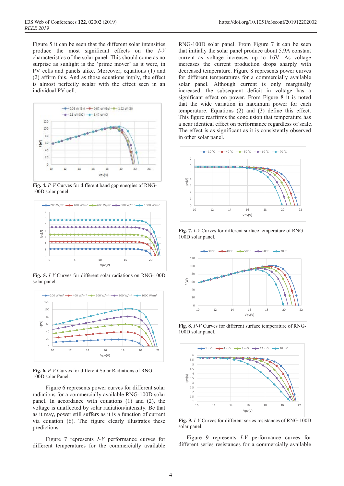Figure 5 it can be seen that the different solar intensities produce the most significant effects on the *I-V* characteristics of the solar panel. This should come as no surprise as sunlight is the 'prime mover' as it were, in PV cells and panels alike. Moreover, equations (1) and (2) affirm this. And as those equations imply, the effect is almost perfectly scalar with the effect seen in an individual PV cell.



**Fig. 4.** *P-V* Curves for different band gap energies of RNG-100D solar panel.



**Fig. 5.** *I-V* Curves for different solar radiations on RNG-100D solar panel.



**Fig. 6.** *P-V* Curves for different Solar Radiations of RNG-100D solar Panel.

Figure 6 represents power curves for different solar radiations for a commercially available RNG-100D solar panel. In accordance with equations (1) and (2), the voltage is unaffected by solar radiation/intensity. Be that as it may, power still suffers as it is a function of current via equation (6). The figure clearly illustrates these predictions.

Figure 7 represents *I-V* performance curves for different temperatures for the commercially available

RNG-100D solar panel. From Figure 7 it can be seen that initially the solar panel produce about 5.9A constant current as voltage increases up to 16V. As voltage increases the current production drops sharply with decreased temperature. Figure 8 represents power curves for different temperatures for a commercially available solar panel. Although current is only marginally increased, the subsequent deficit in voltage has a significant effect on power. From Figure 8 it is noted that the wide variation in maximum power for each temperature. Equations (2) and (3) define this effect. This figure reaffirms the conclusion that temperature has a near identical effect on performance regardless of scale. The effect is as significant as it is consistently observed in other solar panel.







**Fig. 8.** *P-V* Curves for different surface temperature of RNG-100D solar panel.



**Fig. 9.** *I-V* Curves for different series resistances of RNG-100D solar panel.

Figure 9 represents *I-V* performance curves for different series resistances for a commercially available